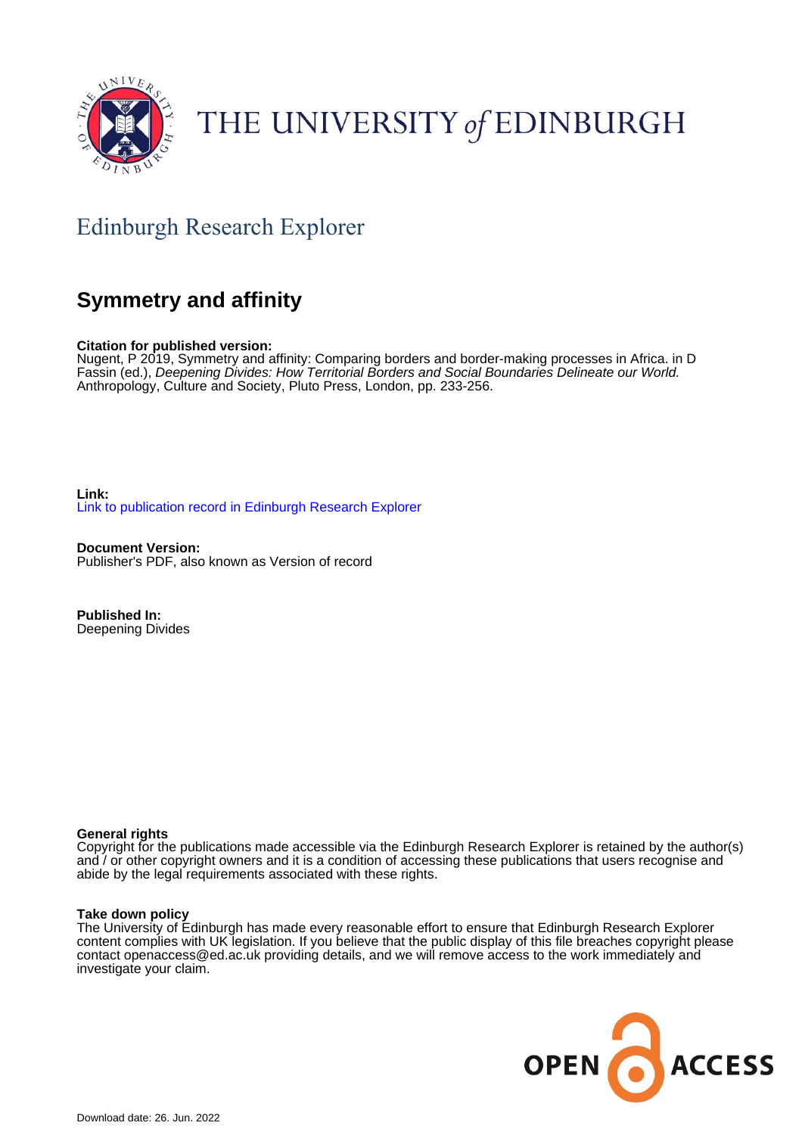

# THE UNIVERSITY of EDINBURGH

# Edinburgh Research Explorer

# **Symmetry and affinity**

**Citation for published version:**

Nugent, P 2019, Symmetry and affinity: Comparing borders and border-making processes in Africa. in D Fassin (ed.), Deepening Divides: How Territorial Borders and Social Boundaries Delineate our World. Anthropology, Culture and Society, Pluto Press, London, pp. 233-256.

**Link:** [Link to publication record in Edinburgh Research Explorer](https://www.research.ed.ac.uk/en/publications/de8c1531-2d01-4b18-aa60-98fb6047cfbd)

**Document Version:** Publisher's PDF, also known as Version of record

**Published In:** Deepening Divides

### **General rights**

Copyright for the publications made accessible via the Edinburgh Research Explorer is retained by the author(s) and / or other copyright owners and it is a condition of accessing these publications that users recognise and abide by the legal requirements associated with these rights.

#### **Take down policy**

The University of Edinburgh has made every reasonable effort to ensure that Edinburgh Research Explorer content complies with UK legislation. If you believe that the public display of this file breaches copyright please contact openaccess@ed.ac.uk providing details, and we will remove access to the work immediately and investigate your claim.

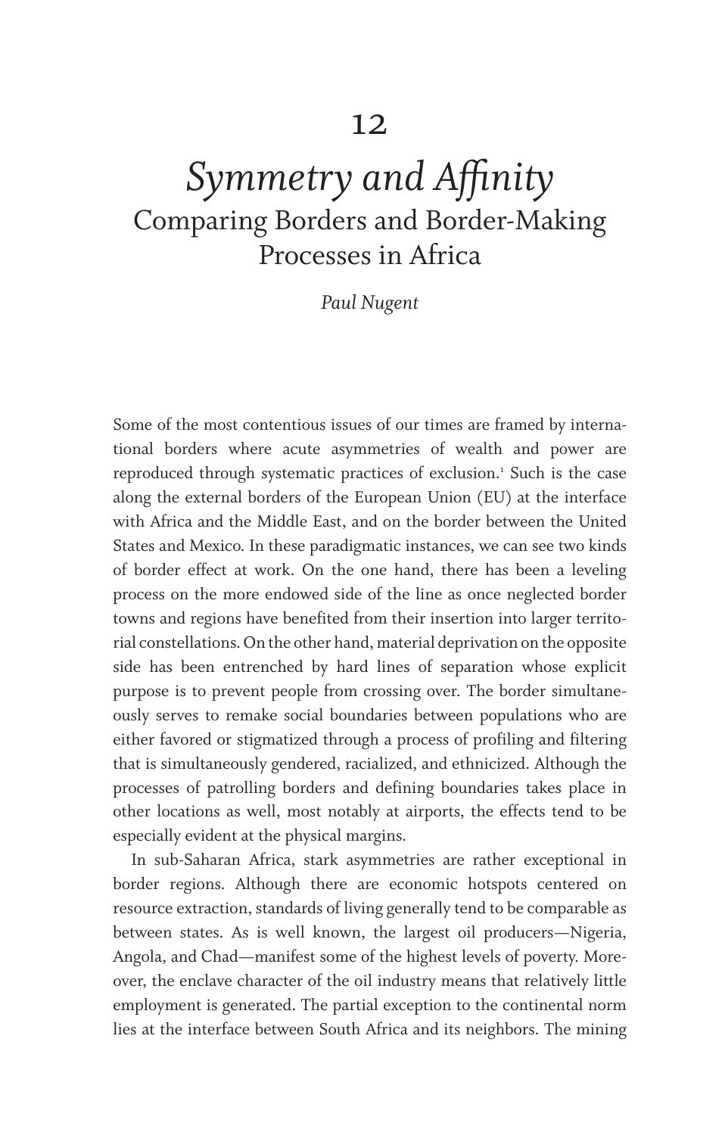# *Symmetry and Affinity* Comparing Borders and Border-Making Processes in Africa

*Paul Nugent*

Some of the most contentious issues of our times are framed by international borders where acute asymmetries of wealth and power are reproduced through systematic practices of exclusion.<sup>1</sup> Such is the case along the external borders of the European Union (EU) at the interface with Africa and the Middle East, and on the border between the United States and Mexico. In these paradigmatic instances, we can see two kinds of border effect at work. On the one hand, there has been a leveling process on the more endowed side of the line as once neglected border towns and regions have benefited from their insertion into larger territorial constellations. On the other hand, material deprivation on the opposite side has been entrenched by hard lines of separation whose explicit purpose is to prevent people from crossing over. The border simultaneously serves to remake social boundaries between populations who are either favored or stigmatized through a process of profiling and filtering that is simultaneously gendered, racialized, and ethnicized. Although the processes of patrolling borders and defining boundaries takes place in other locations as well, most notably at airports, the effects tend to be especially evident at the physical margins.

In sub-Saharan Africa, stark asymmetries are rather exceptional in border regions. Although there are economic hotspots centered on resource extraction, standards of living generally tend to be comparable as between states. As is well known, the largest oil producers—Nigeria, Angola, and Chad—manifest some of the highest levels of poverty. Moreover, the enclave character of the oil industry means that relatively little employment is generated. The partial exception to the continental norm lies at the interface between South Africa and its neighbors. The mining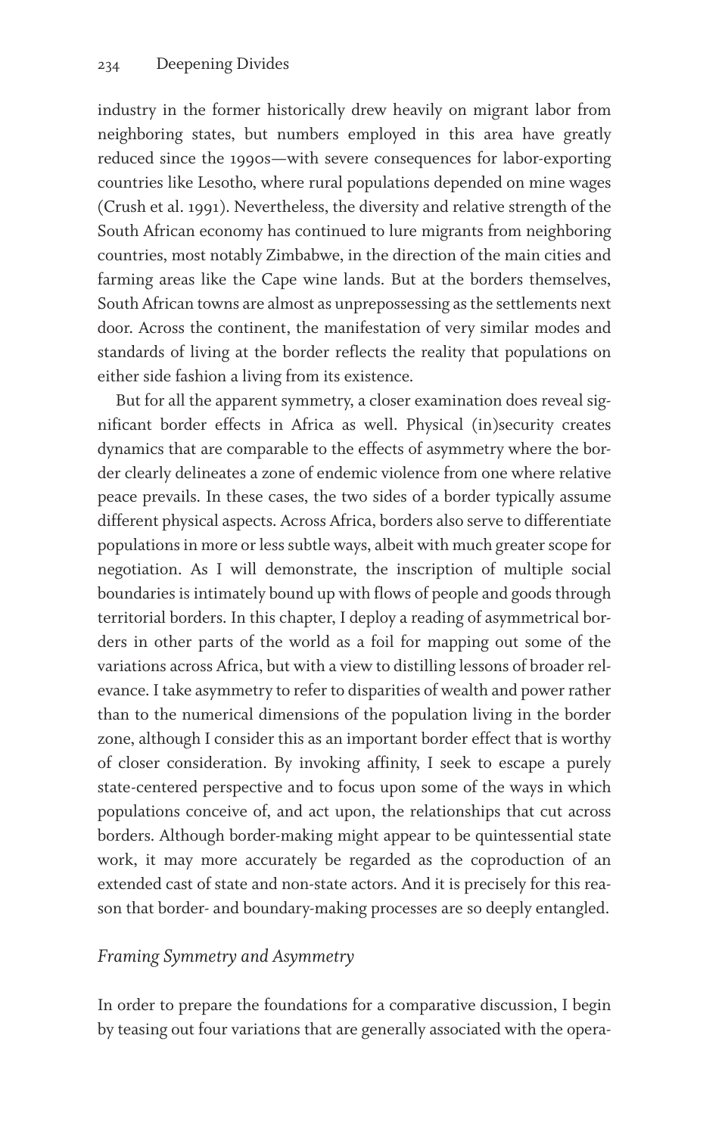industry in the former historically drew heavily on migrant labor from neighboring states, but numbers employed in this area have greatly reduced since the 1990s—with severe consequences for labor-exporting countries like Lesotho, where rural populations depended on mine wages (Crush et al. 1991). Nevertheless, the diversity and relative strength of the South African economy has continued to lure migrants from neighboring countries, most notably Zimbabwe, in the direction of the main cities and farming areas like the Cape wine lands. But at the borders themselves, South African towns are almost as unprepossessing as the settlements next door. Across the continent, the manifestation of very similar modes and standards of living at the border reflects the reality that populations on either side fashion a living from its existence.

But for all the apparent symmetry, a closer examination does reveal significant border effects in Africa as well. Physical (in)security creates dynamics that are comparable to the effects of asymmetry where the border clearly delineates a zone of endemic violence from one where relative peace prevails. In these cases, the two sides of a border typically assume different physical aspects. Across Africa, borders also serve to differentiate populations in more or less subtle ways, albeit with much greater scope for negotiation. As I will demonstrate, the inscription of multiple social boundaries is intimately bound up with flows of people and goods through territorial borders. In this chapter, I deploy a reading of asymmetrical borders in other parts of the world as a foil for mapping out some of the variations across Africa, but with a view to distilling lessons of broader relevance. I take asymmetry to refer to disparities of wealth and power rather than to the numerical dimensions of the population living in the border zone, although I consider this as an important border effect that is worthy of closer consideration. By invoking affinity, I seek to escape a purely state-centered perspective and to focus upon some of the ways in which populations conceive of, and act upon, the relationships that cut across borders. Although border-making might appear to be quintessential state work, it may more accurately be regarded as the coproduction of an extended cast of state and non-state actors. And it is precisely for this reason that border- and boundary-making processes are so deeply entangled.

## *Framing Symmetry and Asymmetry*

In order to prepare the foundations for a comparative discussion, I begin by teasing out four variations that are generally associated with the opera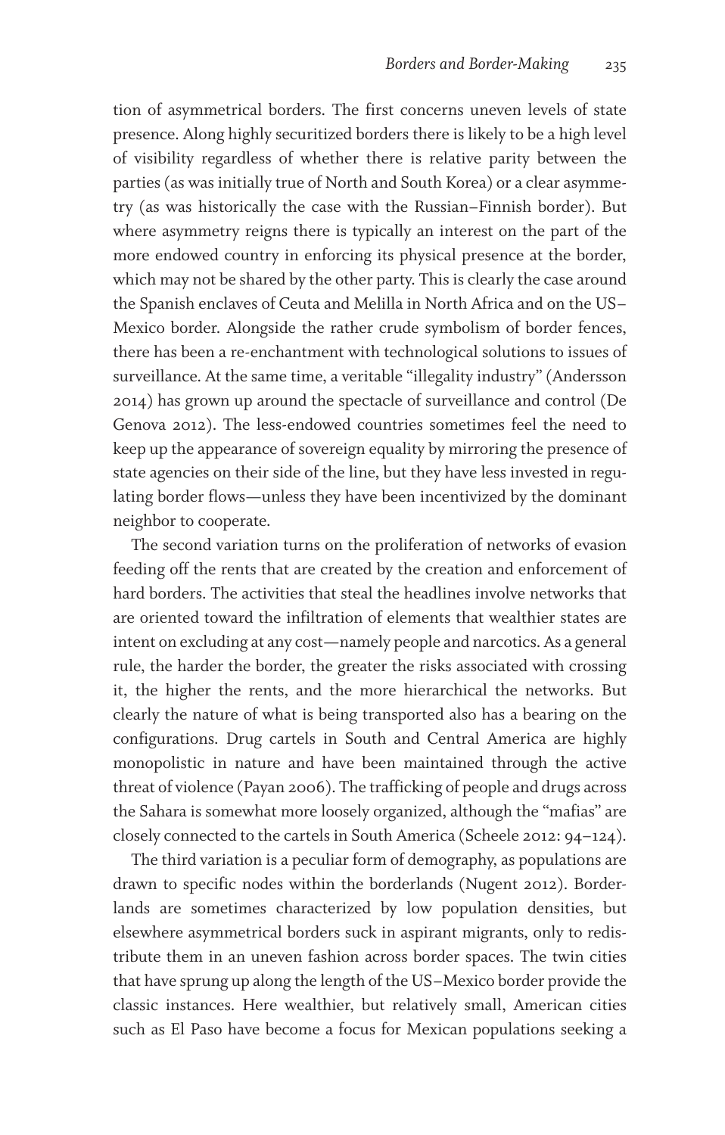tion of asymmetrical borders. The first concerns uneven levels of state presence. Along highly securitized borders there is likely to be a high level of visibility regardless of whether there is relative parity between the parties (as was initially true of North and South Korea) or a clear asymmetry (as was historically the case with the Russian–Finnish border). But where asymmetry reigns there is typically an interest on the part of the more endowed country in enforcing its physical presence at the border, which may not be shared by the other party. This is clearly the case around the Spanish enclaves of Ceuta and Melilla in North Africa and on the US– Mexico border. Alongside the rather crude symbolism of border fences, there has been a re-enchantment with technological solutions to issues of surveillance. At the same time, a veritable "illegality industry" (Andersson 2014) has grown up around the spectacle of surveillance and control (De Genova 2012). The less-endowed countries sometimes feel the need to keep up the appearance of sovereign equality by mirroring the presence of state agencies on their side of the line, but they have less invested in regulating border flows—unless they have been incentivized by the dominant neighbor to cooperate.

The second variation turns on the proliferation of networks of evasion feeding off the rents that are created by the creation and enforcement of hard borders. The activities that steal the headlines involve networks that are oriented toward the infiltration of elements that wealthier states are intent on excluding at any cost—namely people and narcotics. As a general rule, the harder the border, the greater the risks associated with crossing it, the higher the rents, and the more hierarchical the networks. But clearly the nature of what is being transported also has a bearing on the configurations. Drug cartels in South and Central America are highly monopolistic in nature and have been maintained through the active threat of violence (Payan 2006). The trafficking of people and drugs across the Sahara is somewhat more loosely organized, although the "mafias" are closely connected to the cartels in South America (Scheele 2012: 94–124).

The third variation is a peculiar form of demography, as populations are drawn to specific nodes within the borderlands (Nugent 2012). Borderlands are sometimes characterized by low population densities, but elsewhere asymmetrical borders suck in aspirant migrants, only to redistribute them in an uneven fashion across border spaces. The twin cities that have sprung up along the length of the US–Mexico border provide the classic instances. Here wealthier, but relatively small, American cities such as El Paso have become a focus for Mexican populations seeking a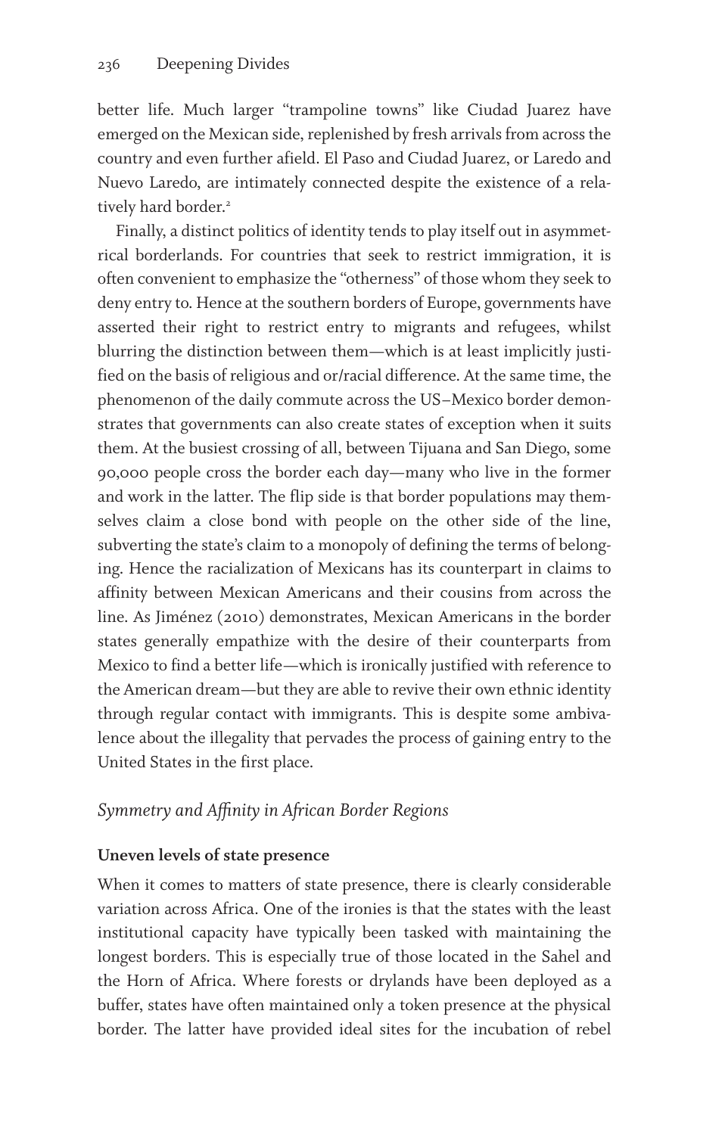better life. Much larger "trampoline towns" like Ciudad Juarez have emerged on the Mexican side, replenished by fresh arrivals from across the country and even further afield. El Paso and Ciudad Juarez, or Laredo and Nuevo Laredo, are intimately connected despite the existence of a relatively hard border.<sup>2</sup>

Finally, a distinct politics of identity tends to play itself out in asymmetrical borderlands. For countries that seek to restrict immigration, it is often convenient to emphasize the "otherness" of those whom they seek to deny entry to. Hence at the southern borders of Europe, governments have asserted their right to restrict entry to migrants and refugees, whilst blurring the distinction between them—which is at least implicitly justified on the basis of religious and or/racial difference. At the same time, the phenomenon of the daily commute across the US–Mexico border demonstrates that governments can also create states of exception when it suits them. At the busiest crossing of all, between Tijuana and San Diego, some 90,000 people cross the border each day—many who live in the former and work in the latter. The flip side is that border populations may themselves claim a close bond with people on the other side of the line, subverting the state's claim to a monopoly of defining the terms of belonging. Hence the racialization of Mexicans has its counterpart in claims to affinity between Mexican Americans and their cousins from across the line. As Jiménez (2010) demonstrates, Mexican Americans in the border states generally empathize with the desire of their counterparts from Mexico to find a better life—which is ironically justified with reference to the American dream—but they are able to revive their own ethnic identity through regular contact with immigrants. This is despite some ambivalence about the illegality that pervades the process of gaining entry to the United States in the first place.

# *Symmetry and Affinity in African Border Regions*

## **Uneven levels of state presence**

When it comes to matters of state presence, there is clearly considerable variation across Africa. One of the ironies is that the states with the least institutional capacity have typically been tasked with maintaining the longest borders. This is especially true of those located in the Sahel and the Horn of Africa. Where forests or drylands have been deployed as a buffer, states have often maintained only a token presence at the physical border. The latter have provided ideal sites for the incubation of rebel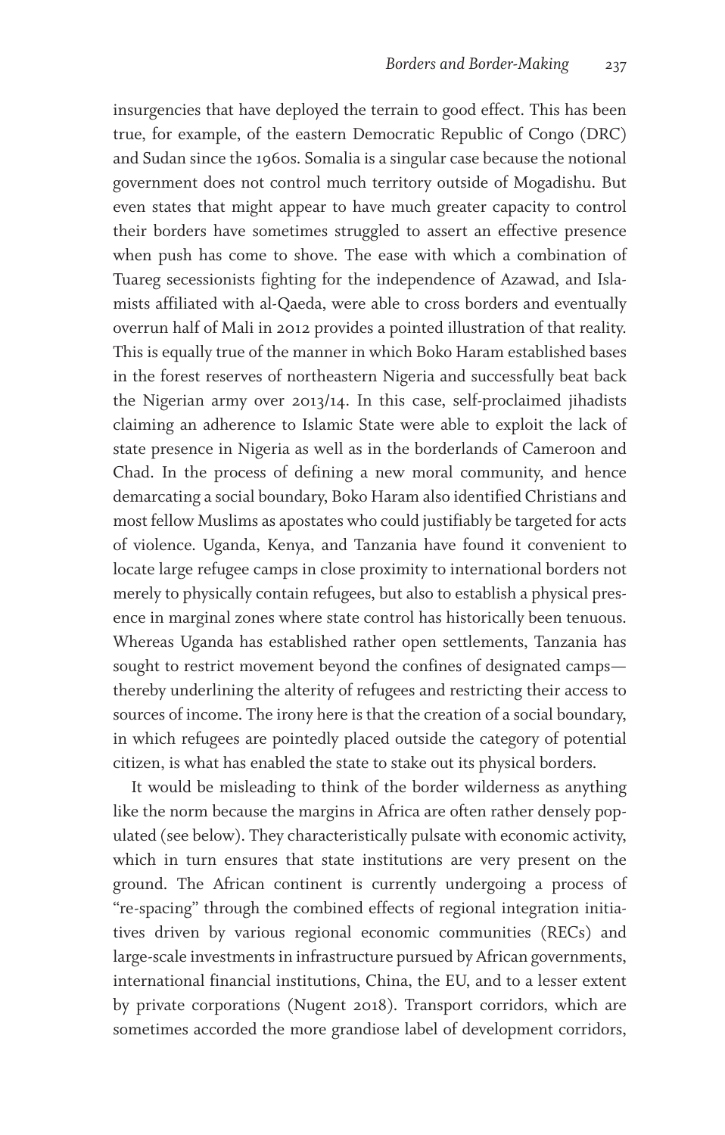insurgencies that have deployed the terrain to good effect. This has been true, for example, of the eastern Democratic Republic of Congo (DRC) and Sudan since the 1960s. Somalia is a singular case because the notional government does not control much territory outside of Mogadishu. But even states that might appear to have much greater capacity to control their borders have sometimes struggled to assert an effective presence when push has come to shove. The ease with which a combination of Tuareg secessionists fighting for the independence of Azawad, and Islamists affiliated with al-Qaeda, were able to cross borders and eventually overrun half of Mali in 2012 provides a pointed illustration of that reality. This is equally true of the manner in which Boko Haram established bases in the forest reserves of northeastern Nigeria and successfully beat back the Nigerian army over 2013/14. In this case, self-proclaimed jihadists claiming an adherence to Islamic State were able to exploit the lack of state presence in Nigeria as well as in the borderlands of Cameroon and Chad. In the process of defining a new moral community, and hence demarcating a social boundary, Boko Haram also identified Christians and most fellow Muslims as apostates who could justifiably be targeted for acts of violence. Uganda, Kenya, and Tanzania have found it convenient to locate large refugee camps in close proximity to international borders not merely to physically contain refugees, but also to establish a physical presence in marginal zones where state control has historically been tenuous. Whereas Uganda has established rather open settlements, Tanzania has sought to restrict movement beyond the confines of designated camps thereby underlining the alterity of refugees and restricting their access to sources of income. The irony here is that the creation of a social boundary, in which refugees are pointedly placed outside the category of potential citizen, is what has enabled the state to stake out its physical borders.

It would be misleading to think of the border wilderness as anything like the norm because the margins in Africa are often rather densely populated (see below). They characteristically pulsate with economic activity, which in turn ensures that state institutions are very present on the ground. The African continent is currently undergoing a process of "re-spacing" through the combined effects of regional integration initiatives driven by various regional economic communities (RECs) and large-scale investments in infrastructure pursued by African governments, international financial institutions, China, the EU, and to a lesser extent by private corporations (Nugent 2018). Transport corridors, which are sometimes accorded the more grandiose label of development corridors,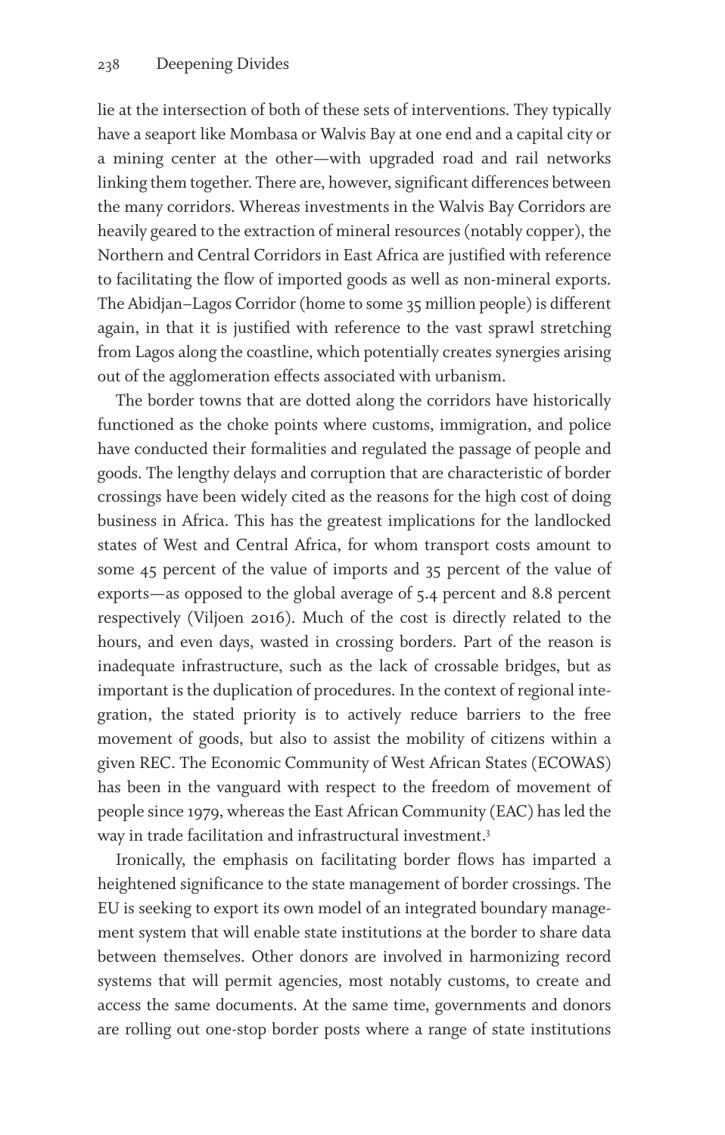lie at the intersection of both of these sets of interventions. They typically have a seaport like Mombasa or Walvis Bay at one end and a capital city or a mining center at the other—with upgraded road and rail networks linking them together. There are, however, significant differences between the many corridors. Whereas investments in the Walvis Bay Corridors are heavily geared to the extraction of mineral resources (notably copper), the Northern and Central Corridors in East Africa are justified with reference to facilitating the flow of imported goods as well as non-mineral exports. The Abidjan–Lagos Corridor (home to some 35 million people) is different again, in that it is justified with reference to the vast sprawl stretching from Lagos along the coastline, which potentially creates synergies arising out of the agglomeration effects associated with urbanism.

The border towns that are dotted along the corridors have historically functioned as the choke points where customs, immigration, and police have conducted their formalities and regulated the passage of people and goods. The lengthy delays and corruption that are characteristic of border crossings have been widely cited as the reasons for the high cost of doing business in Africa. This has the greatest implications for the landlocked states of West and Central Africa, for whom transport costs amount to some 45 percent of the value of imports and 35 percent of the value of exports—as opposed to the global average of 5.4 percent and 8.8 percent respectively (Viljoen 2016). Much of the cost is directly related to the hours, and even days, wasted in crossing borders. Part of the reason is inadequate infrastructure, such as the lack of crossable bridges, but as important is the duplication of procedures. In the context of regional integration, the stated priority is to actively reduce barriers to the free movement of goods, but also to assist the mobility of citizens within a given REC. The Economic Community of West African States (ECOWAS) has been in the vanguard with respect to the freedom of movement of people since 1979, whereas the East African Community (EAC) has led the way in trade facilitation and infrastructural investment.3

Ironically, the emphasis on facilitating border flows has imparted a heightened significance to the state management of border crossings. The EU is seeking to export its own model of an integrated boundary management system that will enable state institutions at the border to share data between themselves. Other donors are involved in harmonizing record systems that will permit agencies, most notably customs, to create and access the same documents. At the same time, governments and donors are rolling out one-stop border posts where a range of state institutions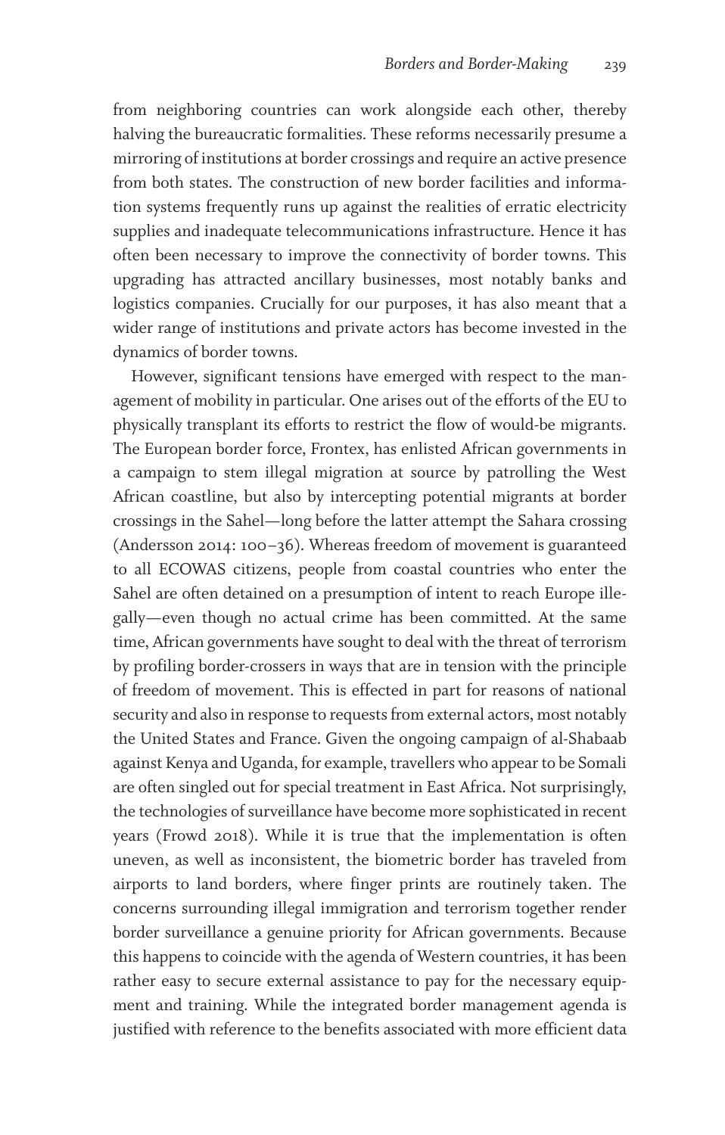from neighboring countries can work alongside each other, thereby halving the bureaucratic formalities. These reforms necessarily presume a mirroring of institutions at border crossings and require an active presence from both states. The construction of new border facilities and information systems frequently runs up against the realities of erratic electricity supplies and inadequate telecommunications infrastructure. Hence it has often been necessary to improve the connectivity of border towns. This upgrading has attracted ancillary businesses, most notably banks and logistics companies. Crucially for our purposes, it has also meant that a wider range of institutions and private actors has become invested in the dynamics of border towns.

However, significant tensions have emerged with respect to the management of mobility in particular. One arises out of the efforts of the EU to physically transplant its efforts to restrict the flow of would-be migrants. The European border force, Frontex, has enlisted African governments in a campaign to stem illegal migration at source by patrolling the West African coastline, but also by intercepting potential migrants at border crossings in the Sahel—long before the latter attempt the Sahara crossing (Andersson 2014: 100–36). Whereas freedom of movement is guaranteed to all ECOWAS citizens, people from coastal countries who enter the Sahel are often detained on a presumption of intent to reach Europe illegally—even though no actual crime has been committed. At the same time, African governments have sought to deal with the threat of terrorism by profiling border-crossers in ways that are in tension with the principle of freedom of movement. This is effected in part for reasons of national security and also in response to requests from external actors, most notably the United States and France. Given the ongoing campaign of al-Shabaab against Kenya and Uganda, for example, travellers who appear to be Somali are often singled out for special treatment in East Africa. Not surprisingly, the technologies of surveillance have become more sophisticated in recent years (Frowd 2018). While it is true that the implementation is often uneven, as well as inconsistent, the biometric border has traveled from airports to land borders, where finger prints are routinely taken. The concerns surrounding illegal immigration and terrorism together render border surveillance a genuine priority for African governments. Because this happens to coincide with the agenda of Western countries, it has been rather easy to secure external assistance to pay for the necessary equipment and training. While the integrated border management agenda is justified with reference to the benefits associated with more efficient data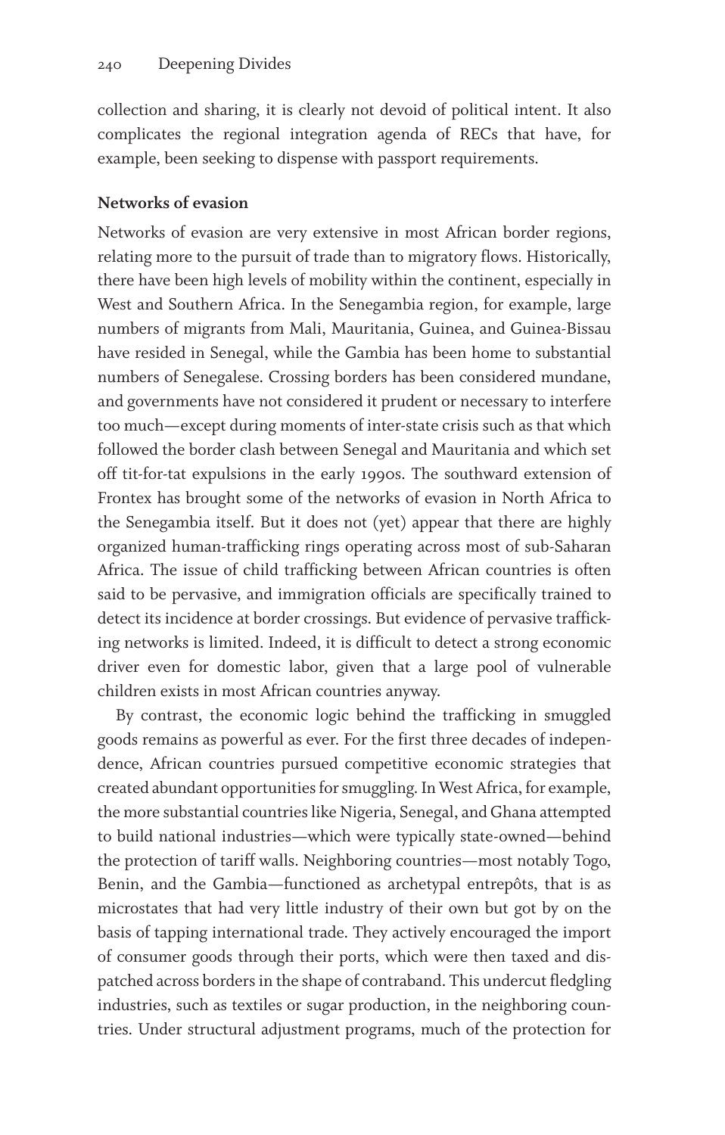collection and sharing, it is clearly not devoid of political intent. It also complicates the regional integration agenda of RECs that have, for example, been seeking to dispense with passport requirements.

#### **Networks of evasion**

Networks of evasion are very extensive in most African border regions, relating more to the pursuit of trade than to migratory flows. Historically, there have been high levels of mobility within the continent, especially in West and Southern Africa. In the Senegambia region, for example, large numbers of migrants from Mali, Mauritania, Guinea, and Guinea-Bissau have resided in Senegal, while the Gambia has been home to substantial numbers of Senegalese. Crossing borders has been considered mundane, and governments have not considered it prudent or necessary to interfere too much—except during moments of inter-state crisis such as that which followed the border clash between Senegal and Mauritania and which set off tit-for-tat expulsions in the early 1990s. The southward extension of Frontex has brought some of the networks of evasion in North Africa to the Senegambia itself. But it does not (yet) appear that there are highly organized human-trafficking rings operating across most of sub-Saharan Africa. The issue of child trafficking between African countries is often said to be pervasive, and immigration officials are specifically trained to detect its incidence at border crossings. But evidence of pervasive trafficking networks is limited. Indeed, it is difficult to detect a strong economic driver even for domestic labor, given that a large pool of vulnerable children exists in most African countries anyway.

By contrast, the economic logic behind the trafficking in smuggled goods remains as powerful as ever. For the first three decades of independence, African countries pursued competitive economic strategies that created abundant opportunities for smuggling. In West Africa, for example, the more substantial countries like Nigeria, Senegal, and Ghana attempted to build national industries—which were typically state-owned—behind the protection of tariff walls. Neighboring countries—most notably Togo, Benin, and the Gambia—functioned as archetypal entrepôts, that is as microstates that had very little industry of their own but got by on the basis of tapping international trade. They actively encouraged the import of consumer goods through their ports, which were then taxed and dispatched across borders in the shape of contraband. This undercut fledgling industries, such as textiles or sugar production, in the neighboring countries. Under structural adjustment programs, much of the protection for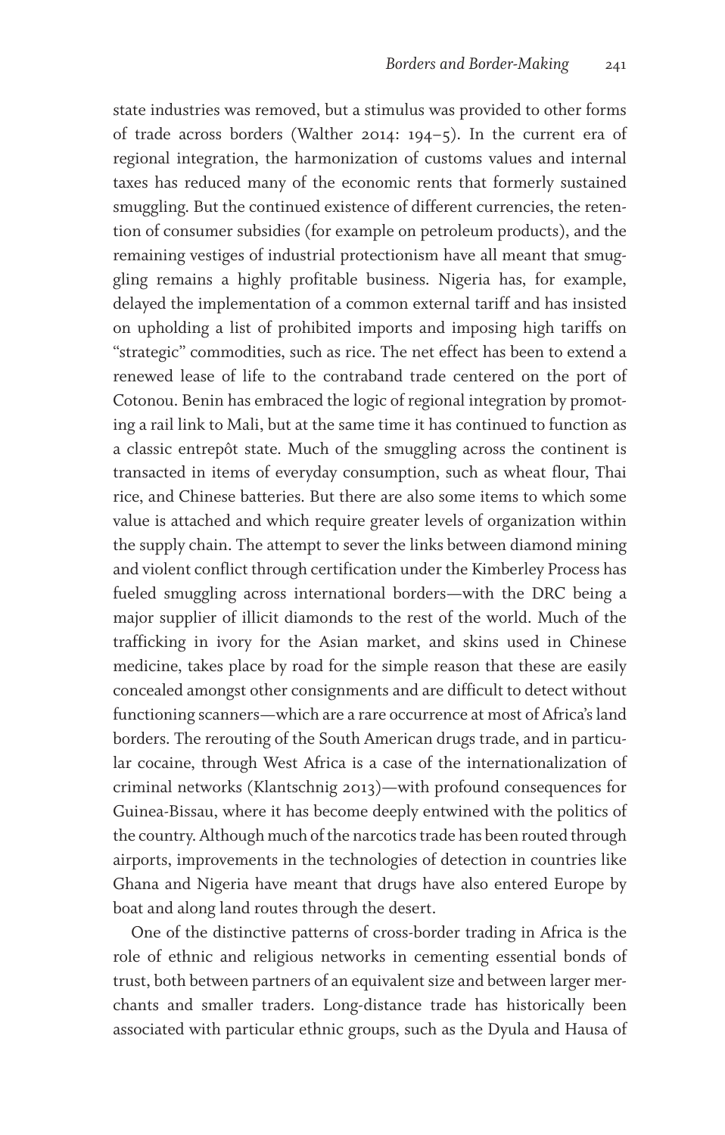state industries was removed, but a stimulus was provided to other forms of trade across borders (Walther 2014: 194–5). In the current era of regional integration, the harmonization of customs values and internal taxes has reduced many of the economic rents that formerly sustained smuggling. But the continued existence of different currencies, the retention of consumer subsidies (for example on petroleum products), and the remaining vestiges of industrial protectionism have all meant that smuggling remains a highly profitable business. Nigeria has, for example, delayed the implementation of a common external tariff and has insisted on upholding a list of prohibited imports and imposing high tariffs on "strategic" commodities, such as rice. The net effect has been to extend a renewed lease of life to the contraband trade centered on the port of Cotonou. Benin has embraced the logic of regional integration by promoting a rail link to Mali, but at the same time it has continued to function as a classic entrepôt state. Much of the smuggling across the continent is transacted in items of everyday consumption, such as wheat flour, Thai rice, and Chinese batteries. But there are also some items to which some value is attached and which require greater levels of organization within the supply chain. The attempt to sever the links between diamond mining and violent conflict through certification under the Kimberley Process has fueled smuggling across international borders—with the DRC being a major supplier of illicit diamonds to the rest of the world. Much of the trafficking in ivory for the Asian market, and skins used in Chinese medicine, takes place by road for the simple reason that these are easily concealed amongst other consignments and are difficult to detect without functioning scanners—which are a rare occurrence at most of Africa's land borders. The rerouting of the South American drugs trade, and in particular cocaine, through West Africa is a case of the internationalization of criminal networks (Klantschnig 2013)—with profound consequences for Guinea-Bissau, where it has become deeply entwined with the politics of the country. Although much of the narcotics trade has been routed through airports, improvements in the technologies of detection in countries like Ghana and Nigeria have meant that drugs have also entered Europe by boat and along land routes through the desert.

One of the distinctive patterns of cross-border trading in Africa is the role of ethnic and religious networks in cementing essential bonds of trust, both between partners of an equivalent size and between larger merchants and smaller traders. Long-distance trade has historically been associated with particular ethnic groups, such as the Dyula and Hausa of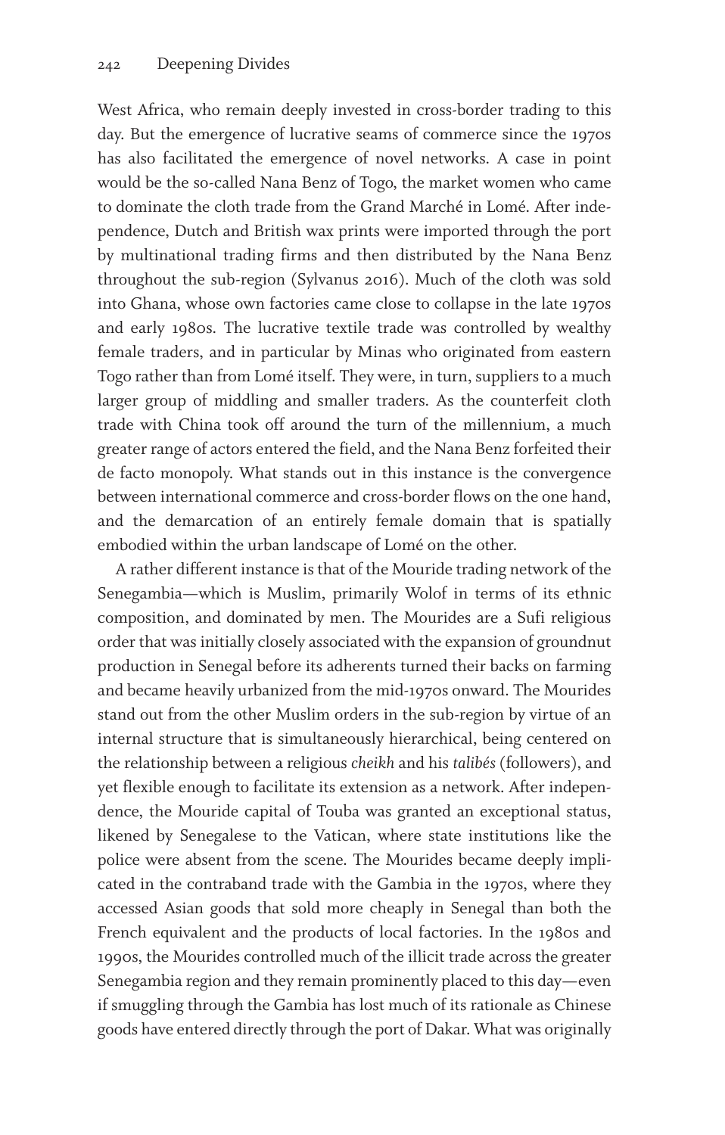West Africa, who remain deeply invested in cross-border trading to this day. But the emergence of lucrative seams of commerce since the 1970s has also facilitated the emergence of novel networks. A case in point would be the so-called Nana Benz of Togo, the market women who came to dominate the cloth trade from the Grand Marché in Lomé. After independence, Dutch and British wax prints were imported through the port by multinational trading firms and then distributed by the Nana Benz throughout the sub-region (Sylvanus 2016). Much of the cloth was sold into Ghana, whose own factories came close to collapse in the late 1970s and early 1980s. The lucrative textile trade was controlled by wealthy female traders, and in particular by Minas who originated from eastern Togo rather than from Lomé itself. They were, in turn, suppliers to a much larger group of middling and smaller traders. As the counterfeit cloth trade with China took off around the turn of the millennium, a much greater range of actors entered the field, and the Nana Benz forfeited their de facto monopoly. What stands out in this instance is the convergence between international commerce and cross-border flows on the one hand, and the demarcation of an entirely female domain that is spatially embodied within the urban landscape of Lomé on the other.

A rather different instance is that of the Mouride trading network of the Senegambia—which is Muslim, primarily Wolof in terms of its ethnic composition, and dominated by men. The Mourides are a Sufi religious order that was initially closely associated with the expansion of groundnut production in Senegal before its adherents turned their backs on farming and became heavily urbanized from the mid-1970s onward. The Mourides stand out from the other Muslim orders in the sub-region by virtue of an internal structure that is simultaneously hierarchical, being centered on the relationship between a religious *cheikh* and his *talibés* (followers), and yet flexible enough to facilitate its extension as a network. After independence, the Mouride capital of Touba was granted an exceptional status, likened by Senegalese to the Vatican, where state institutions like the police were absent from the scene. The Mourides became deeply implicated in the contraband trade with the Gambia in the 1970s, where they accessed Asian goods that sold more cheaply in Senegal than both the French equivalent and the products of local factories. In the 1980s and 1990s, the Mourides controlled much of the illicit trade across the greater Senegambia region and they remain prominently placed to this day—even if smuggling through the Gambia has lost much of its rationale as Chinese goods have entered directly through the port of Dakar. What was originally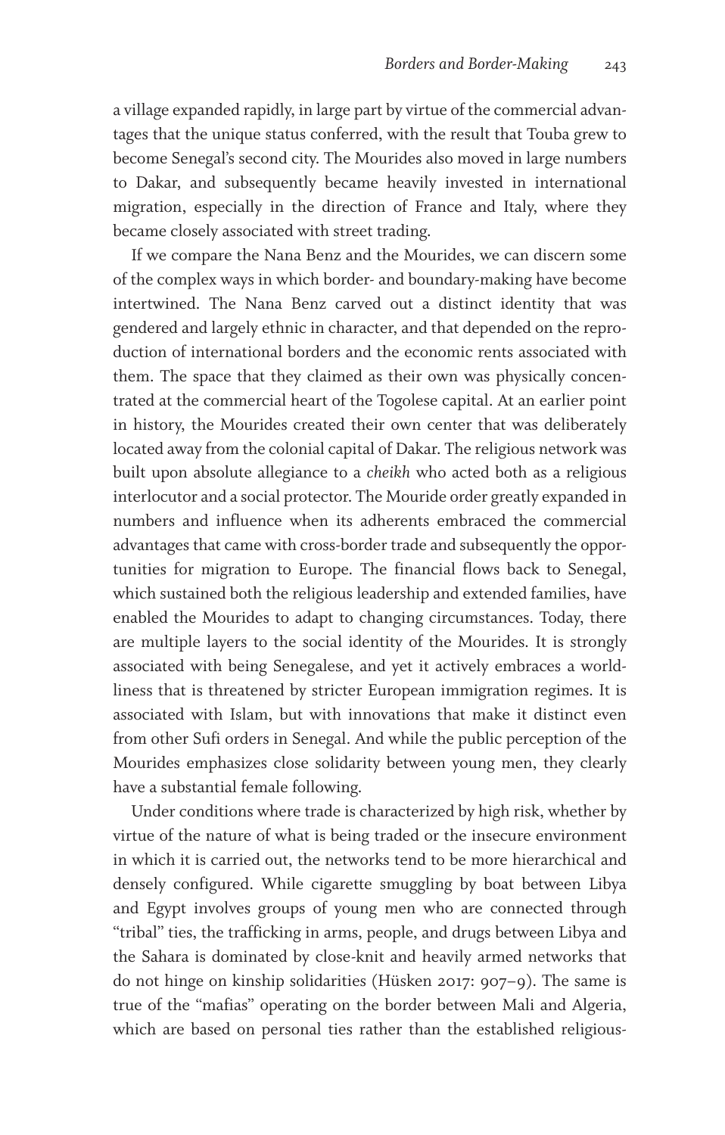a village expanded rapidly, in large part by virtue of the commercial advantages that the unique status conferred, with the result that Touba grew to become Senegal's second city. The Mourides also moved in large numbers to Dakar, and subsequently became heavily invested in international migration, especially in the direction of France and Italy, where they became closely associated with street trading.

If we compare the Nana Benz and the Mourides, we can discern some of the complex ways in which border- and boundary-making have become intertwined. The Nana Benz carved out a distinct identity that was gendered and largely ethnic in character, and that depended on the reproduction of international borders and the economic rents associated with them. The space that they claimed as their own was physically concentrated at the commercial heart of the Togolese capital. At an earlier point in history, the Mourides created their own center that was deliberately located away from the colonial capital of Dakar. The religious network was built upon absolute allegiance to a *cheikh* who acted both as a religious interlocutor and a social protector. The Mouride order greatly expanded in numbers and influence when its adherents embraced the commercial advantages that came with cross-border trade and subsequently the opportunities for migration to Europe. The financial flows back to Senegal, which sustained both the religious leadership and extended families, have enabled the Mourides to adapt to changing circumstances. Today, there are multiple layers to the social identity of the Mourides. It is strongly associated with being Senegalese, and yet it actively embraces a worldliness that is threatened by stricter European immigration regimes. It is associated with Islam, but with innovations that make it distinct even from other Sufi orders in Senegal. And while the public perception of the Mourides emphasizes close solidarity between young men, they clearly have a substantial female following.

Under conditions where trade is characterized by high risk, whether by virtue of the nature of what is being traded or the insecure environment in which it is carried out, the networks tend to be more hierarchical and densely configured. While cigarette smuggling by boat between Libya and Egypt involves groups of young men who are connected through "tribal" ties, the trafficking in arms, people, and drugs between Libya and the Sahara is dominated by close-knit and heavily armed networks that do not hinge on kinship solidarities (Hüsken 2017: 907–9). The same is true of the "mafias" operating on the border between Mali and Algeria, which are based on personal ties rather than the established religious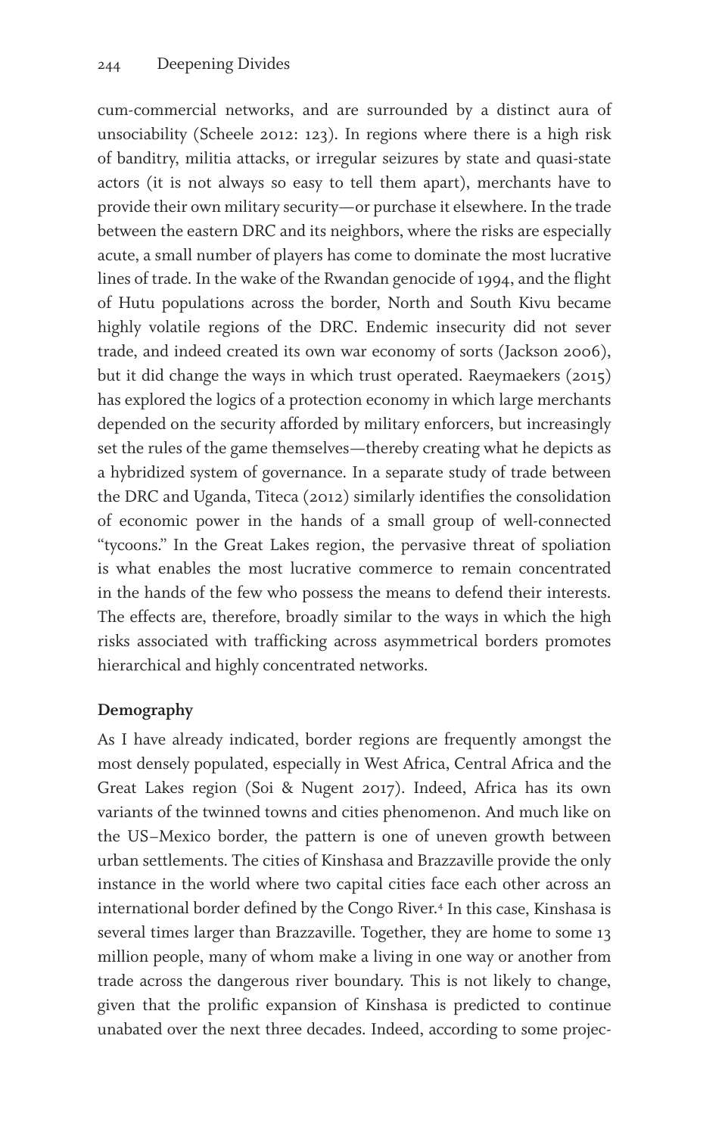cum-commercial networks, and are surrounded by a distinct aura of unsociability (Scheele 2012: 123). In regions where there is a high risk of banditry, militia attacks, or irregular seizures by state and quasi-state actors (it is not always so easy to tell them apart), merchants have to provide their own military security—or purchase it elsewhere. In the trade between the eastern DRC and its neighbors, where the risks are especially acute, a small number of players has come to dominate the most lucrative lines of trade. In the wake of the Rwandan genocide of 1994, and the flight of Hutu populations across the border, North and South Kivu became highly volatile regions of the DRC. Endemic insecurity did not sever trade, and indeed created its own war economy of sorts (Jackson 2006), but it did change the ways in which trust operated. Raeymaekers (2015) has explored the logics of a protection economy in which large merchants depended on the security afforded by military enforcers, but increasingly set the rules of the game themselves—thereby creating what he depicts as a hybridized system of governance. In a separate study of trade between the DRC and Uganda, Titeca (2012) similarly identifies the consolidation of economic power in the hands of a small group of well-connected "tycoons." In the Great Lakes region, the pervasive threat of spoliation is what enables the most lucrative commerce to remain concentrated in the hands of the few who possess the means to defend their interests. The effects are, therefore, broadly similar to the ways in which the high risks associated with trafficking across asymmetrical borders promotes hierarchical and highly concentrated networks.

## **Demography**

As I have already indicated, border regions are frequently amongst the most densely populated, especially in West Africa, Central Africa and the Great Lakes region (Soi & Nugent 2017). Indeed, Africa has its own variants of the twinned towns and cities phenomenon. And much like on the US–Mexico border, the pattern is one of uneven growth between urban settlements. The cities of Kinshasa and Brazzaville provide the only instance in the world where two capital cities face each other across an international border defined by the Congo River.<sup>4</sup> In this case, Kinshasa is several times larger than Brazzaville. Together, they are home to some 13 million people, many of whom make a living in one way or another from trade across the dangerous river boundary. This is not likely to change, given that the prolific expansion of Kinshasa is predicted to continue unabated over the next three decades. Indeed, according to some projec-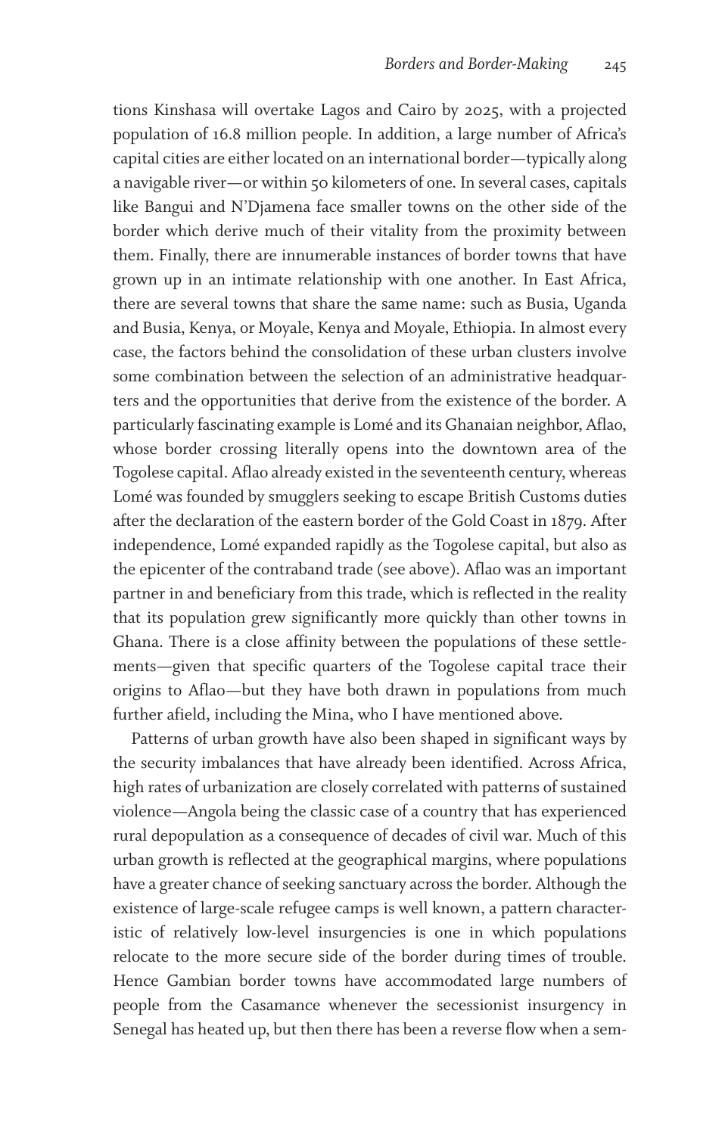tions Kinshasa will overtake Lagos and Cairo by 2025, with a projected population of 16.8 million people. In addition, a large number of Africa's capital cities are either located on an international border—typically along a navigable river—or within 50 kilometers of one. In several cases, capitals like Bangui and N'Djamena face smaller towns on the other side of the border which derive much of their vitality from the proximity between them. Finally, there are innumerable instances of border towns that have grown up in an intimate relationship with one another. In East Africa, there are several towns that share the same name: such as Busia, Uganda and Busia, Kenya, or Moyale, Kenya and Moyale, Ethiopia. In almost every case, the factors behind the consolidation of these urban clusters involve some combination between the selection of an administrative headquarters and the opportunities that derive from the existence of the border. A particularly fascinating example is Lomé and its Ghanaian neighbor, Aflao, whose border crossing literally opens into the downtown area of the Togolese capital. Aflao already existed in the seventeenth century, whereas Lomé was founded by smugglers seeking to escape British Customs duties after the declaration of the eastern border of the Gold Coast in 1879. After independence, Lomé expanded rapidly as the Togolese capital, but also as the epicenter of the contraband trade (see above). Aflao was an important partner in and beneficiary from this trade, which is reflected in the reality that its population grew significantly more quickly than other towns in Ghana. There is a close affinity between the populations of these settlements—given that specific quarters of the Togolese capital trace their origins to Aflao—but they have both drawn in populations from much further afield, including the Mina, who I have mentioned above.

Patterns of urban growth have also been shaped in significant ways by the security imbalances that have already been identified. Across Africa, high rates of urbanization are closely correlated with patterns of sustained violence—Angola being the classic case of a country that has experienced rural depopulation as a consequence of decades of civil war. Much of this urban growth is reflected at the geographical margins, where populations have a greater chance of seeking sanctuary across the border. Although the existence of large-scale refugee camps is well known, a pattern characteristic of relatively low-level insurgencies is one in which populations relocate to the more secure side of the border during times of trouble. Hence Gambian border towns have accommodated large numbers of people from the Casamance whenever the secessionist insurgency in Senegal has heated up, but then there has been a reverse flow when a sem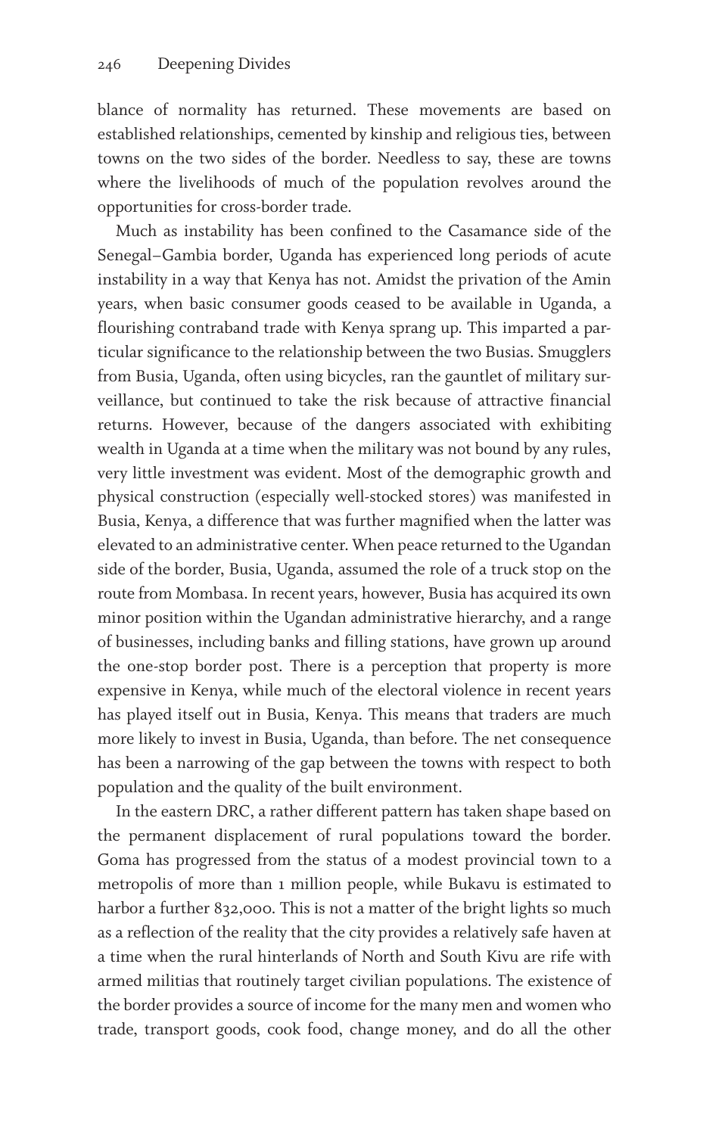blance of normality has returned. These movements are based on established relationships, cemented by kinship and religious ties, between towns on the two sides of the border. Needless to say, these are towns where the livelihoods of much of the population revolves around the opportunities for cross-border trade.

Much as instability has been confined to the Casamance side of the Senegal–Gambia border, Uganda has experienced long periods of acute instability in a way that Kenya has not. Amidst the privation of the Amin years, when basic consumer goods ceased to be available in Uganda, a flourishing contraband trade with Kenya sprang up. This imparted a particular significance to the relationship between the two Busias. Smugglers from Busia, Uganda, often using bicycles, ran the gauntlet of military surveillance, but continued to take the risk because of attractive financial returns. However, because of the dangers associated with exhibiting wealth in Uganda at a time when the military was not bound by any rules, very little investment was evident. Most of the demographic growth and physical construction (especially well-stocked stores) was manifested in Busia, Kenya, a difference that was further magnified when the latter was elevated to an administrative center. When peace returned to the Ugandan side of the border, Busia, Uganda, assumed the role of a truck stop on the route from Mombasa. In recent years, however, Busia has acquired its own minor position within the Ugandan administrative hierarchy, and a range of businesses, including banks and filling stations, have grown up around the one-stop border post. There is a perception that property is more expensive in Kenya, while much of the electoral violence in recent years has played itself out in Busia, Kenya. This means that traders are much more likely to invest in Busia, Uganda, than before. The net consequence has been a narrowing of the gap between the towns with respect to both population and the quality of the built environment.

In the eastern DRC, a rather different pattern has taken shape based on the permanent displacement of rural populations toward the border. Goma has progressed from the status of a modest provincial town to a metropolis of more than 1 million people, while Bukavu is estimated to harbor a further 832,000. This is not a matter of the bright lights so much as a reflection of the reality that the city provides a relatively safe haven at a time when the rural hinterlands of North and South Kivu are rife with armed militias that routinely target civilian populations. The existence of the border provides a source of income for the many men and women who trade, transport goods, cook food, change money, and do all the other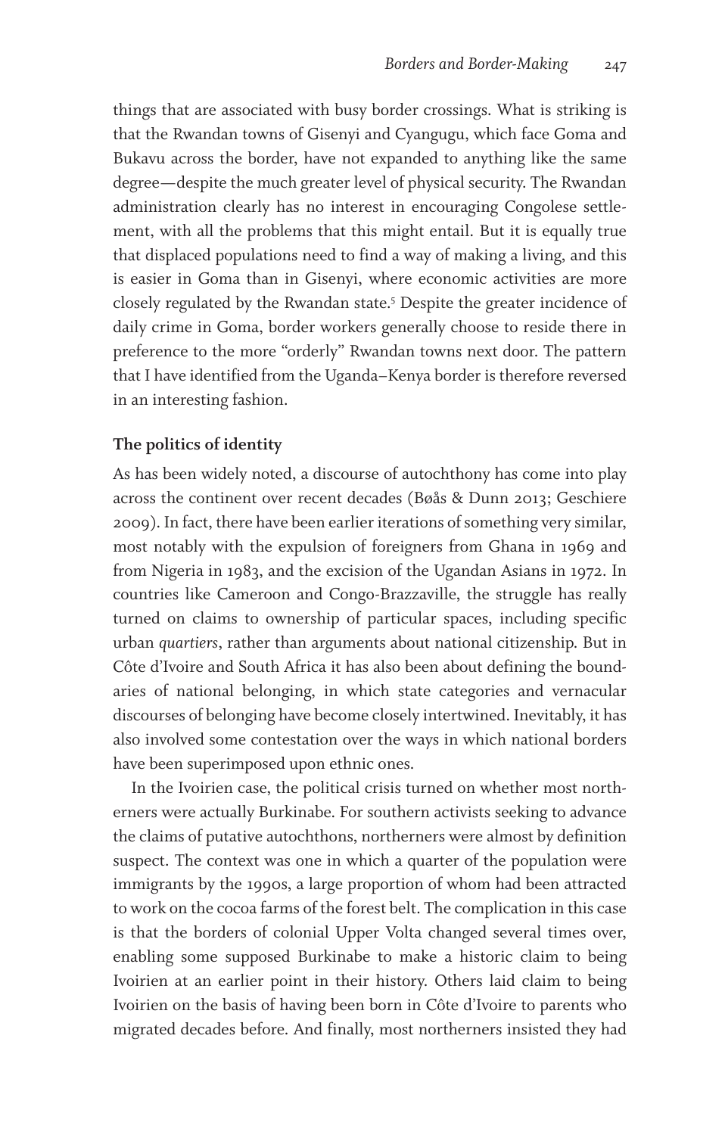things that are associated with busy border crossings. What is striking is that the Rwandan towns of Gisenyi and Cyangugu, which face Goma and Bukavu across the border, have not expanded to anything like the same degree—despite the much greater level of physical security. The Rwandan administration clearly has no interest in encouraging Congolese settlement, with all the problems that this might entail. But it is equally true that displaced populations need to find a way of making a living, and this is easier in Goma than in Gisenyi, where economic activities are more closely regulated by the Rwandan state.5 Despite the greater incidence of daily crime in Goma, border workers generally choose to reside there in preference to the more "orderly" Rwandan towns next door. The pattern that I have identified from the Uganda–Kenya border is therefore reversed in an interesting fashion.

#### **The politics of identity**

As has been widely noted, a discourse of autochthony has come into play across the continent over recent decades (Bøås & Dunn 2013; Geschiere 2009). In fact, there have been earlier iterations of something very similar, most notably with the expulsion of foreigners from Ghana in 1969 and from Nigeria in 1983, and the excision of the Ugandan Asians in 1972. In countries like Cameroon and Congo-Brazzaville, the struggle has really turned on claims to ownership of particular spaces, including specific urban *quartiers*, rather than arguments about national citizenship. But in Côte d'Ivoire and South Africa it has also been about defining the boundaries of national belonging, in which state categories and vernacular discourses of belonging have become closely intertwined. Inevitably, it has also involved some contestation over the ways in which national borders have been superimposed upon ethnic ones.

In the Ivoirien case, the political crisis turned on whether most northerners were actually Burkinabe. For southern activists seeking to advance the claims of putative autochthons, northerners were almost by definition suspect. The context was one in which a quarter of the population were immigrants by the 1990s, a large proportion of whom had been attracted to work on the cocoa farms of the forest belt. The complication in this case is that the borders of colonial Upper Volta changed several times over, enabling some supposed Burkinabe to make a historic claim to being Ivoirien at an earlier point in their history. Others laid claim to being Ivoirien on the basis of having been born in Côte d'Ivoire to parents who migrated decades before. And finally, most northerners insisted they had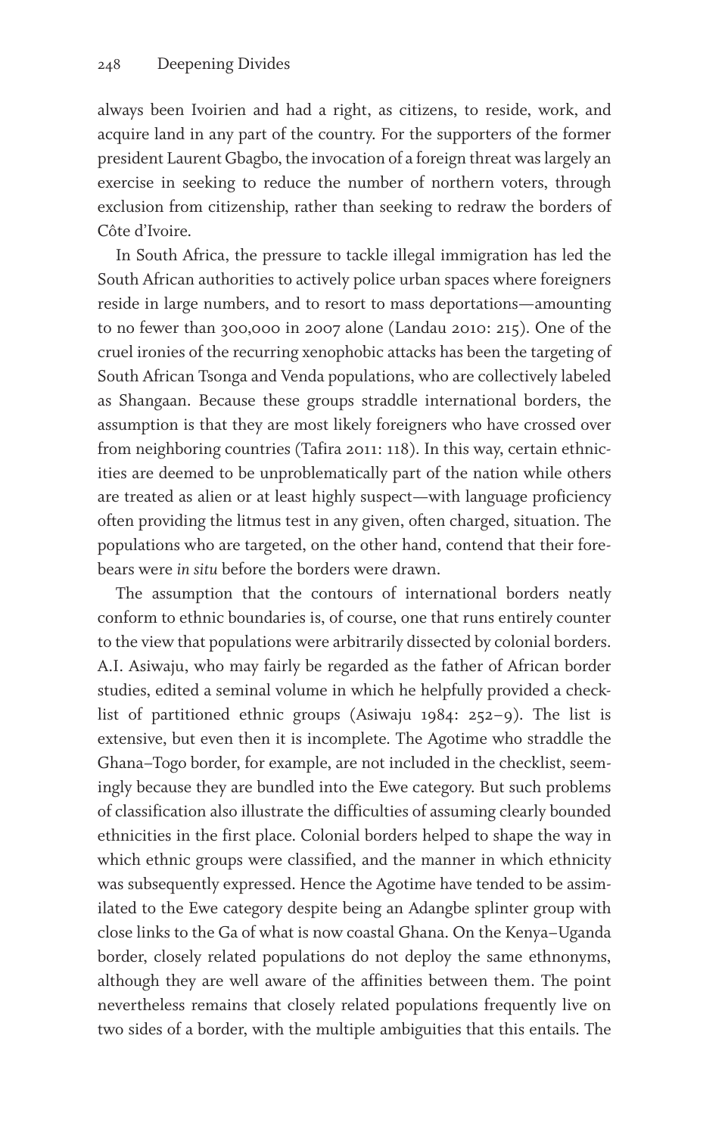always been Ivoirien and had a right, as citizens, to reside, work, and acquire land in any part of the country. For the supporters of the former president Laurent Gbagbo, the invocation of a foreign threat was largely an exercise in seeking to reduce the number of northern voters, through exclusion from citizenship, rather than seeking to redraw the borders of Côte d'Ivoire.

In South Africa, the pressure to tackle illegal immigration has led the South African authorities to actively police urban spaces where foreigners reside in large numbers, and to resort to mass deportations—amounting to no fewer than 300,000 in 2007 alone (Landau 2010: 215). One of the cruel ironies of the recurring xenophobic attacks has been the targeting of South African Tsonga and Venda populations, who are collectively labeled as Shangaan. Because these groups straddle international borders, the assumption is that they are most likely foreigners who have crossed over from neighboring countries (Tafira 2011: 118). In this way, certain ethnicities are deemed to be unproblematically part of the nation while others are treated as alien or at least highly suspect—with language proficiency often providing the litmus test in any given, often charged, situation. The populations who are targeted, on the other hand, contend that their forebears were *in situ* before the borders were drawn.

The assumption that the contours of international borders neatly conform to ethnic boundaries is, of course, one that runs entirely counter to the view that populations were arbitrarily dissected by colonial borders. A.I. Asiwaju, who may fairly be regarded as the father of African border studies, edited a seminal volume in which he helpfully provided a checklist of partitioned ethnic groups (Asiwaju 1984: 252–9). The list is extensive, but even then it is incomplete. The Agotime who straddle the Ghana–Togo border, for example, are not included in the checklist, seemingly because they are bundled into the Ewe category. But such problems of classification also illustrate the difficulties of assuming clearly bounded ethnicities in the first place. Colonial borders helped to shape the way in which ethnic groups were classified, and the manner in which ethnicity was subsequently expressed. Hence the Agotime have tended to be assimilated to the Ewe category despite being an Adangbe splinter group with close links to the Ga of what is now coastal Ghana. On the Kenya–Uganda border, closely related populations do not deploy the same ethnonyms, although they are well aware of the affinities between them. The point nevertheless remains that closely related populations frequently live on two sides of a border, with the multiple ambiguities that this entails. The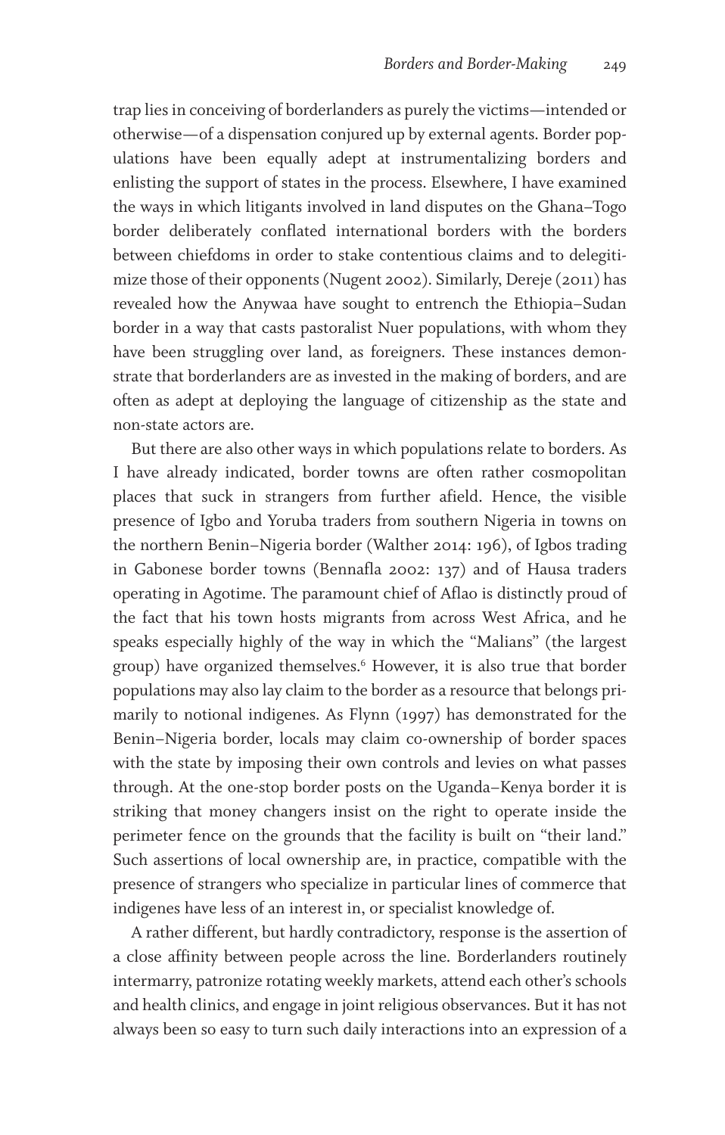trap lies in conceiving of borderlanders as purely the victims—intended or otherwise—of a dispensation conjured up by external agents. Border populations have been equally adept at instrumentalizing borders and enlisting the support of states in the process. Elsewhere, I have examined the ways in which litigants involved in land disputes on the Ghana–Togo border deliberately conflated international borders with the borders between chiefdoms in order to stake contentious claims and to delegitimize those of their opponents (Nugent 2002). Similarly, Dereje (2011) has revealed how the Anywaa have sought to entrench the Ethiopia–Sudan border in a way that casts pastoralist Nuer populations, with whom they have been struggling over land, as foreigners. These instances demonstrate that borderlanders are as invested in the making of borders, and are often as adept at deploying the language of citizenship as the state and non-state actors are.

But there are also other ways in which populations relate to borders. As I have already indicated, border towns are often rather cosmopolitan places that suck in strangers from further afield. Hence, the visible presence of Igbo and Yoruba traders from southern Nigeria in towns on the northern Benin–Nigeria border (Walther 2014: 196), of Igbos trading in Gabonese border towns (Bennafla 2002: 137) and of Hausa traders operating in Agotime. The paramount chief of Aflao is distinctly proud of the fact that his town hosts migrants from across West Africa, and he speaks especially highly of the way in which the "Malians" (the largest group) have organized themselves.6 However, it is also true that border populations may also lay claim to the border as a resource that belongs primarily to notional indigenes. As Flynn (1997) has demonstrated for the Benin–Nigeria border, locals may claim co-ownership of border spaces with the state by imposing their own controls and levies on what passes through. At the one-stop border posts on the Uganda–Kenya border it is striking that money changers insist on the right to operate inside the perimeter fence on the grounds that the facility is built on "their land." Such assertions of local ownership are, in practice, compatible with the presence of strangers who specialize in particular lines of commerce that indigenes have less of an interest in, or specialist knowledge of.

A rather different, but hardly contradictory, response is the assertion of a close affinity between people across the line. Borderlanders routinely intermarry, patronize rotating weekly markets, attend each other's schools and health clinics, and engage in joint religious observances. But it has not always been so easy to turn such daily interactions into an expression of a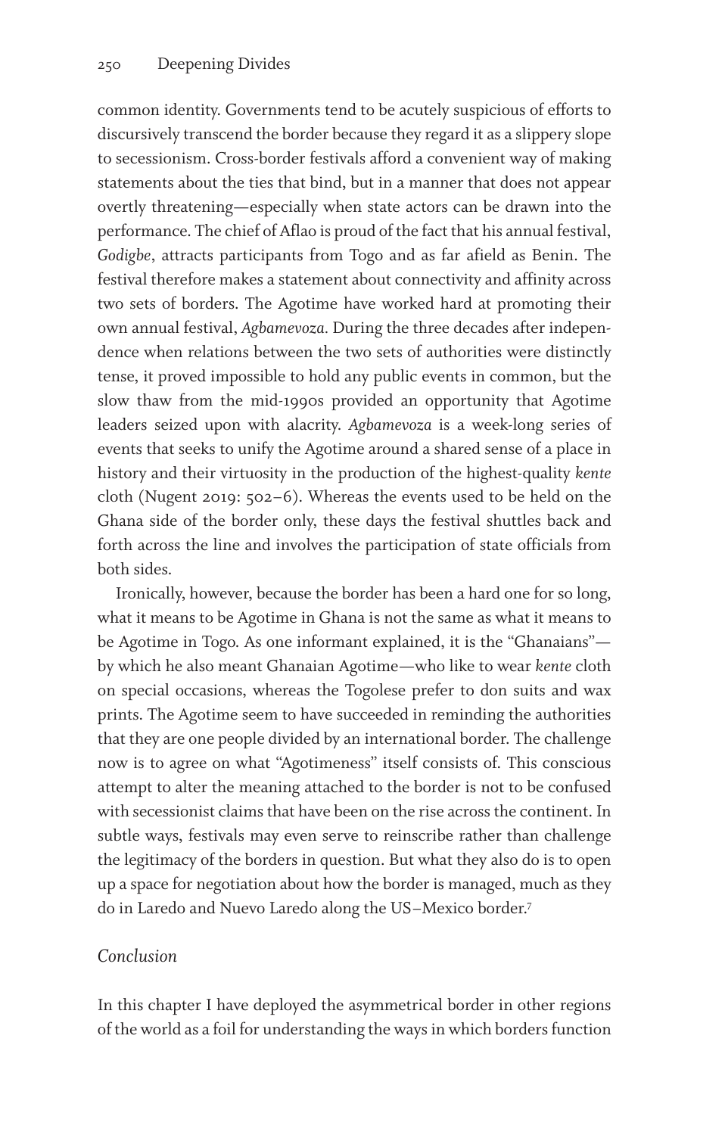common identity. Governments tend to be acutely suspicious of efforts to discursively transcend the border because they regard it as a slippery slope to secessionism. Cross-border festivals afford a convenient way of making statements about the ties that bind, but in a manner that does not appear overtly threatening—especially when state actors can be drawn into the performance. The chief of Aflao is proud of the fact that his annual festival, *Godigbe*, attracts participants from Togo and as far afield as Benin. The festival therefore makes a statement about connectivity and affinity across two sets of borders. The Agotime have worked hard at promoting their own annual festival, *Agbamevoza.* During the three decades after independence when relations between the two sets of authorities were distinctly tense, it proved impossible to hold any public events in common, but the slow thaw from the mid-1990s provided an opportunity that Agotime leaders seized upon with alacrity. *Agbamevoza* is a week-long series of events that seeks to unify the Agotime around a shared sense of a place in history and their virtuosity in the production of the highest-quality *kente* cloth (Nugent 2019: 502–6). Whereas the events used to be held on the Ghana side of the border only, these days the festival shuttles back and forth across the line and involves the participation of state officials from both sides.

Ironically, however, because the border has been a hard one for so long, what it means to be Agotime in Ghana is not the same as what it means to be Agotime in Togo. As one informant explained, it is the "Ghanaians" by which he also meant Ghanaian Agotime—who like to wear *kente* cloth on special occasions, whereas the Togolese prefer to don suits and wax prints. The Agotime seem to have succeeded in reminding the authorities that they are one people divided by an international border. The challenge now is to agree on what "Agotimeness" itself consists of. This conscious attempt to alter the meaning attached to the border is not to be confused with secessionist claims that have been on the rise across the continent. In subtle ways, festivals may even serve to reinscribe rather than challenge the legitimacy of the borders in question. But what they also do is to open up a space for negotiation about how the border is managed, much as they do in Laredo and Nuevo Laredo along the US–Mexico border.7

#### *Conclusion*

In this chapter I have deployed the asymmetrical border in other regions of the world as a foil for understanding the ways in which borders function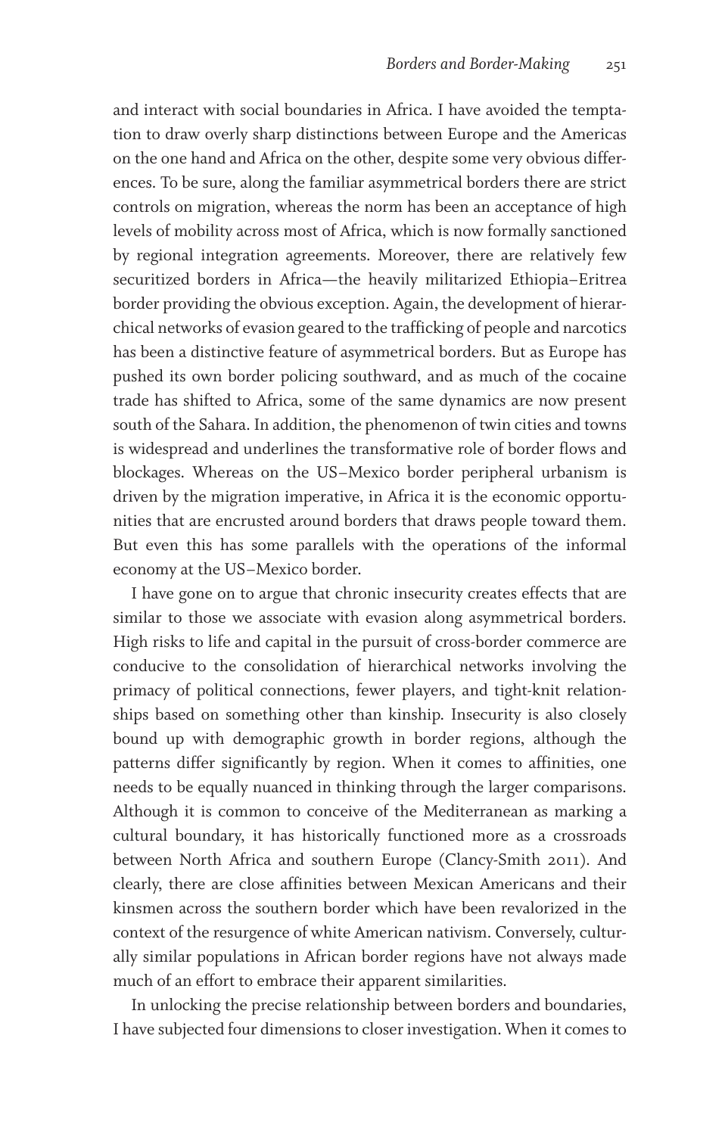and interact with social boundaries in Africa. I have avoided the temptation to draw overly sharp distinctions between Europe and the Americas on the one hand and Africa on the other, despite some very obvious differences. To be sure, along the familiar asymmetrical borders there are strict controls on migration, whereas the norm has been an acceptance of high levels of mobility across most of Africa, which is now formally sanctioned by regional integration agreements. Moreover, there are relatively few securitized borders in Africa—the heavily militarized Ethiopia–Eritrea border providing the obvious exception. Again, the development of hierarchical networks of evasion geared to the trafficking of people and narcotics has been a distinctive feature of asymmetrical borders. But as Europe has pushed its own border policing southward, and as much of the cocaine trade has shifted to Africa, some of the same dynamics are now present south of the Sahara. In addition, the phenomenon of twin cities and towns is widespread and underlines the transformative role of border flows and blockages. Whereas on the US–Mexico border peripheral urbanism is driven by the migration imperative, in Africa it is the economic opportunities that are encrusted around borders that draws people toward them. But even this has some parallels with the operations of the informal economy at the US–Mexico border.

I have gone on to argue that chronic insecurity creates effects that are similar to those we associate with evasion along asymmetrical borders. High risks to life and capital in the pursuit of cross-border commerce are conducive to the consolidation of hierarchical networks involving the primacy of political connections, fewer players, and tight-knit relationships based on something other than kinship. Insecurity is also closely bound up with demographic growth in border regions, although the patterns differ significantly by region. When it comes to affinities, one needs to be equally nuanced in thinking through the larger comparisons. Although it is common to conceive of the Mediterranean as marking a cultural boundary, it has historically functioned more as a crossroads between North Africa and southern Europe (Clancy-Smith 2011). And clearly, there are close affinities between Mexican Americans and their kinsmen across the southern border which have been revalorized in the context of the resurgence of white American nativism. Conversely, culturally similar populations in African border regions have not always made much of an effort to embrace their apparent similarities.

In unlocking the precise relationship between borders and boundaries, I have subjected four dimensions to closer investigation. When it comes to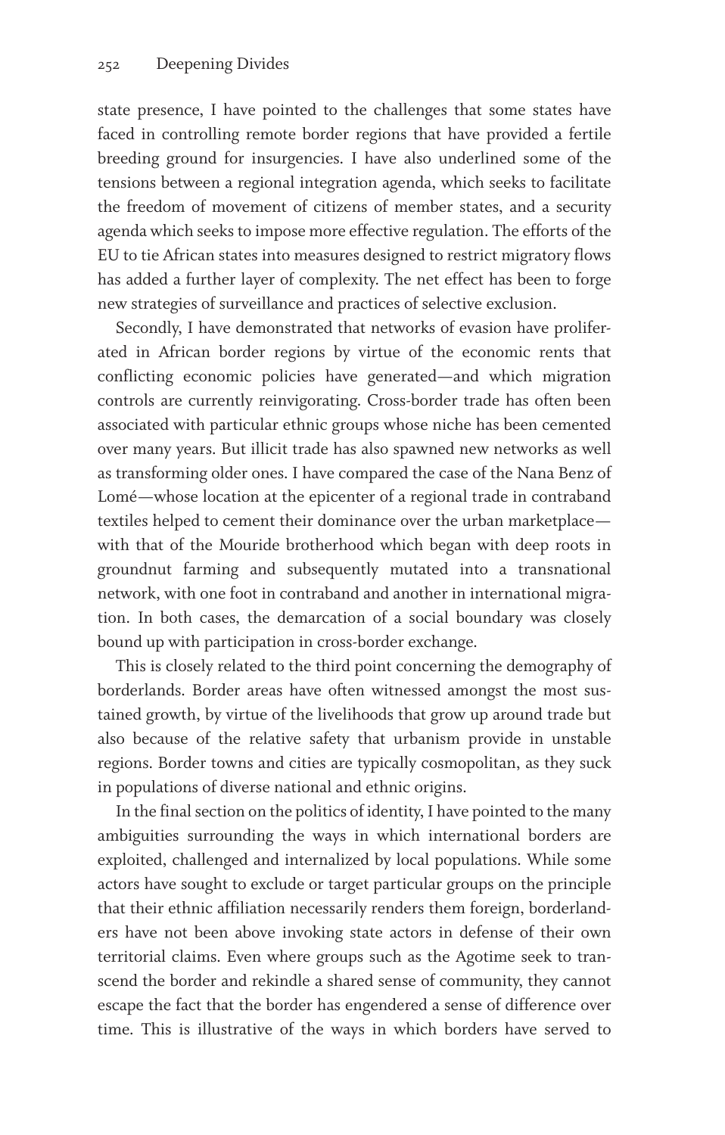state presence, I have pointed to the challenges that some states have faced in controlling remote border regions that have provided a fertile breeding ground for insurgencies. I have also underlined some of the tensions between a regional integration agenda, which seeks to facilitate the freedom of movement of citizens of member states, and a security agenda which seeks to impose more effective regulation. The efforts of the EU to tie African states into measures designed to restrict migratory flows has added a further layer of complexity. The net effect has been to forge new strategies of surveillance and practices of selective exclusion.

Secondly, I have demonstrated that networks of evasion have proliferated in African border regions by virtue of the economic rents that conflicting economic policies have generated—and which migration controls are currently reinvigorating. Cross-border trade has often been associated with particular ethnic groups whose niche has been cemented over many years. But illicit trade has also spawned new networks as well as transforming older ones. I have compared the case of the Nana Benz of Lomé—whose location at the epicenter of a regional trade in contraband textiles helped to cement their dominance over the urban marketplace with that of the Mouride brotherhood which began with deep roots in groundnut farming and subsequently mutated into a transnational network, with one foot in contraband and another in international migration. In both cases, the demarcation of a social boundary was closely bound up with participation in cross-border exchange.

This is closely related to the third point concerning the demography of borderlands. Border areas have often witnessed amongst the most sustained growth, by virtue of the livelihoods that grow up around trade but also because of the relative safety that urbanism provide in unstable regions. Border towns and cities are typically cosmopolitan, as they suck in populations of diverse national and ethnic origins.

In the final section on the politics of identity, I have pointed to the many ambiguities surrounding the ways in which international borders are exploited, challenged and internalized by local populations. While some actors have sought to exclude or target particular groups on the principle that their ethnic affiliation necessarily renders them foreign, borderlanders have not been above invoking state actors in defense of their own territorial claims. Even where groups such as the Agotime seek to transcend the border and rekindle a shared sense of community, they cannot escape the fact that the border has engendered a sense of difference over time. This is illustrative of the ways in which borders have served to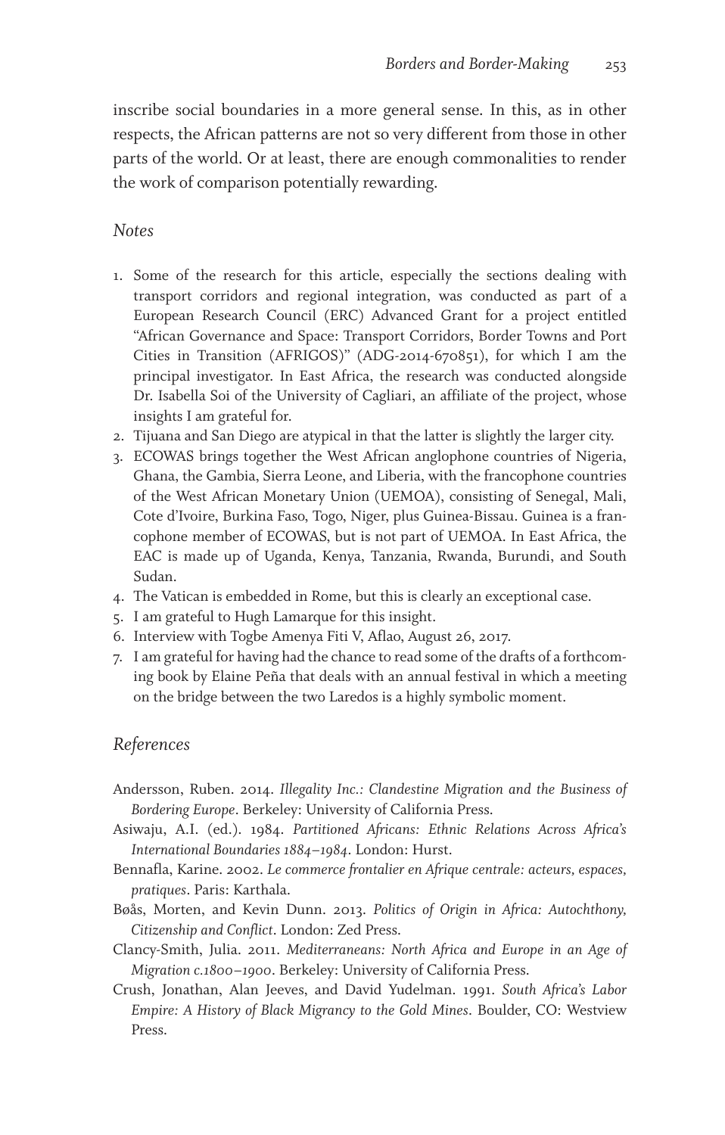inscribe social boundaries in a more general sense. In this, as in other respects, the African patterns are not so very different from those in other parts of the world. Or at least, there are enough commonalities to render the work of comparison potentially rewarding.

#### *Notes*

- 1. Some of the research for this article, especially the sections dealing with transport corridors and regional integration, was conducted as part of a European Research Council (ERC) Advanced Grant for a project entitled "African Governance and Space: Transport Corridors, Border Towns and Port Cities in Transition (AFRIGOS)" (ADG-2014-670851), for which I am the principal investigator. In East Africa, the research was conducted alongside Dr. Isabella Soi of the University of Cagliari, an affiliate of the project, whose insights I am grateful for.
- 2. Tijuana and San Diego are atypical in that the latter is slightly the larger city.
- 3. ECOWAS brings together the West African anglophone countries of Nigeria, Ghana, the Gambia, Sierra Leone, and Liberia, with the francophone countries of the West African Monetary Union (UEMOA), consisting of Senegal, Mali, Cote d'Ivoire, Burkina Faso, Togo, Niger, plus Guinea-Bissau. Guinea is a francophone member of ECOWAS, but is not part of UEMOA. In East Africa, the EAC is made up of Uganda, Kenya, Tanzania, Rwanda, Burundi, and South Sudan.
- 4. The Vatican is embedded in Rome, but this is clearly an exceptional case.
- 5. I am grateful to Hugh Lamarque for this insight.
- 6. Interview with Togbe Amenya Fiti V, Aflao, August 26, 2017.
- 7. I am grateful for having had the chance to read some of the drafts of a forthcoming book by Elaine Peña that deals with an annual festival in which a meeting on the bridge between the two Laredos is a highly symbolic moment.

#### *References*

- Andersson, Ruben. 2014. *Illegality Inc.: Clandestine Migration and the Business of Bordering Europe*. Berkeley: University of California Press.
- Asiwaju, A.I. (ed.). 1984. *Partitioned Africans: Ethnic Relations Across Africa's International Boundaries 1884–1984*. London: Hurst.
- Bennafla, Karine. 2002. *Le commerce frontalier en Afrique centrale: acteurs, espaces, pratiques*. Paris: Karthala.
- Bøås, Morten, and Kevin Dunn. 2013. *Politics of Origin in Africa: Autochthony, Citizenship and Conflict*. London: Zed Press.
- Clancy-Smith, Julia. 2011. *Mediterraneans: North Africa and Europe in an Age of Migration c.1800–1900*. Berkeley: University of California Press.
- Crush, Jonathan, Alan Jeeves, and David Yudelman. 1991. *South Africa's Labor Empire: A History of Black Migrancy to the Gold Mines*. Boulder, CO: Westview Press.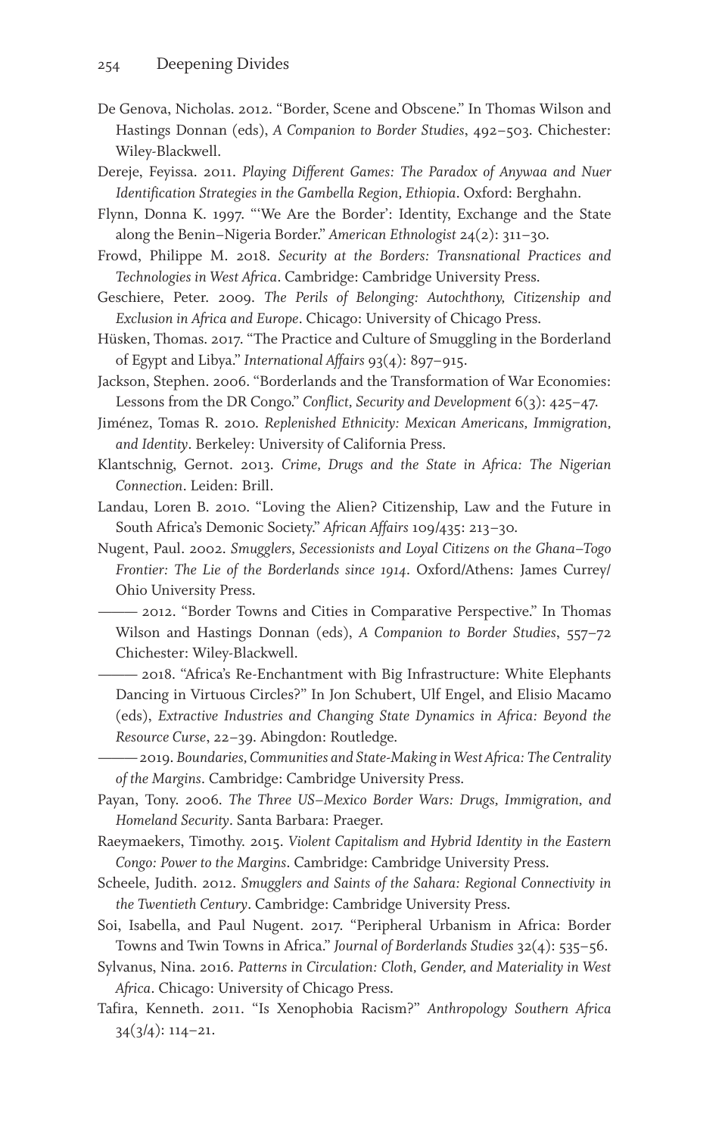- De Genova, Nicholas. 2012. "Border, Scene and Obscene." In Thomas Wilson and Hastings Donnan (eds), *A Companion to Border Studies*, 492–503. Chichester: Wiley-Blackwell.
- Dereje, Feyissa. 2011. *Playing Different Games: The Paradox of Anywaa and Nuer Identification Strategies in the Gambella Region, Ethiopia*. Oxford: Berghahn.
- Flynn, Donna K. 1997. "'We Are the Border': Identity, Exchange and the State along the Benin–Nigeria Border." *American Ethnologist* 24(2): 311–30.
- Frowd, Philippe M. 2018. *Security at the Borders: Transnational Practices and Technologies in West Africa*. Cambridge: Cambridge University Press.
- Geschiere, Peter. 2009. *The Perils of Belonging: Autochthony, Citizenship and Exclusion in Africa and Europe*. Chicago: University of Chicago Press.
- Hüsken, Thomas. 2017. "The Practice and Culture of Smuggling in the Borderland of Egypt and Libya." *International Affairs* 93(4): 897–915.
- Jackson, Stephen. 2006. "Borderlands and the Transformation of War Economies: Lessons from the DR Congo." *Conflict, Security and Development* 6(3): 425–47.
- Jiménez, Tomas R. 2010. *Replenished Ethnicity: Mexican Americans, Immigration, and Identity*. Berkeley: University of California Press.
- Klantschnig, Gernot. 2013. *Crime, Drugs and the State in Africa: The Nigerian Connection*. Leiden: Brill.
- Landau, Loren B. 2010. "Loving the Alien? Citizenship, Law and the Future in South Africa's Demonic Society." *African Affairs* 109/435: 213–30.
- Nugent, Paul. 2002. *Smugglers, Secessionists and Loyal Citizens on the Ghana–Togo Frontier: The Lie of the Borderlands since 1914*. Oxford/Athens: James Currey/ Ohio University Press.

——— 2012. "Border Towns and Cities in Comparative Perspective." In Thomas Wilson and Hastings Donnan (eds), *A Companion to Border Studies*, 557–72 Chichester: Wiley-Blackwell.

- 2018. "Africa's Re-Enchantment with Big Infrastructure: White Elephants Dancing in Virtuous Circles?" In Jon Schubert, Ulf Engel, and Elisio Macamo (eds), *Extractive Industries and Changing State Dynamics in Africa: Beyond the Resource Curse*, 22–39. Abingdon: Routledge.
- ——— 2019. *Boundaries, Communities and State-Making in West Africa: The Centrality of the Margins*. Cambridge: Cambridge University Press.
- Payan, Tony. 2006. *The Three US–Mexico Border Wars: Drugs, Immigration, and Homeland Security*. Santa Barbara: Praeger.
- Raeymaekers, Timothy. 2015. *Violent Capitalism and Hybrid Identity in the Eastern Congo: Power to the Margins*. Cambridge: Cambridge University Press.
- Scheele, Judith. 2012. *Smugglers and Saints of the Sahara: Regional Connectivity in the Twentieth Century*. Cambridge: Cambridge University Press.
- Soi, Isabella, and Paul Nugent. 2017. "Peripheral Urbanism in Africa: Border Towns and Twin Towns in Africa." *Journal of Borderlands Studies* 32(4): 535–56.
- Sylvanus, Nina. 2016. *Patterns in Circulation: Cloth, Gender, and Materiality in West Africa*. Chicago: University of Chicago Press.
- Tafira, Kenneth. 2011. "Is Xenophobia Racism?" *Anthropology Southern Africa* 34(3/4): 114–21.